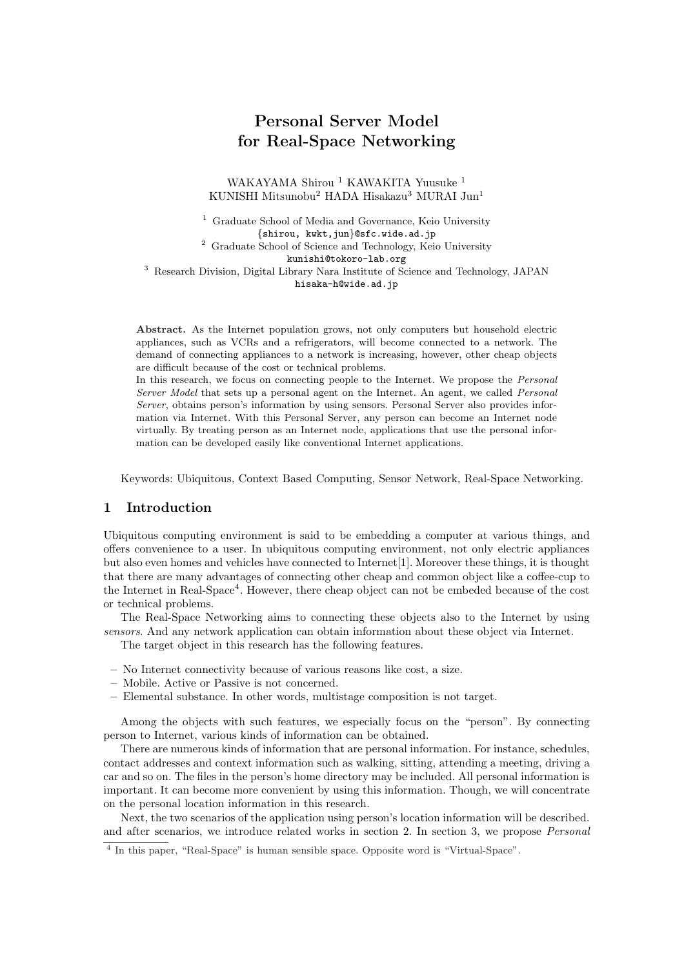# Personal Server Model for Real-Space Networking

WAKAYAMA Shirou <sup>1</sup> KAWAKITA Yuusuke <sup>1</sup> KUNISHI Mitsunobu<sup>2</sup> HADA Hisakazu<sup>3</sup> MURAI Jun<sup>1</sup>

 $^{\rm 1}$  Graduate School of Media and Governance, Keio University {shirou, kwkt,jun}@sfc.wide.ad.jp <sup>2</sup> Graduate School of Science and Technology, Keio University kunishi@tokoro-lab.org <sup>3</sup> Research Division, Digital Library Nara Institute of Science and Technology, JAPAN hisaka-h@wide.ad.jp

Abstract. As the Internet population grows, not only computers but household electric appliances, such as VCRs and a refrigerators, will become connected to a network. The demand of connecting appliances to a network is increasing, however, other cheap objects are difficult because of the cost or technical problems.

In this research, we focus on connecting people to the Internet. We propose the *Personal* Server Model that sets up a personal agent on the Internet. An agent, we called Personal Server, obtains person's information by using sensors. Personal Server also provides information via Internet. With this Personal Server, any person can become an Internet node virtually. By treating person as an Internet node, applications that use the personal information can be developed easily like conventional Internet applications.

Keywords: Ubiquitous, Context Based Computing, Sensor Network, Real-Space Networking.

# 1 Introduction

Ubiquitous computing environment is said to be embedding a computer at various things, and offers convenience to a user. In ubiquitous computing environment, not only electric appliances but also even homes and vehicles have connected to Internet[1]. Moreover these things, it is thought that there are many advantages of connecting other cheap and common object like a coffee-cup to the Internet in Real-Space<sup>4</sup>. However, there cheap object can not be embeded because of the cost or technical problems.

The Real-Space Networking aims to connecting these objects also to the Internet by using sensors. And any network application can obtain information about these object via Internet.

The target object in this research has the following features.

- No Internet connectivity because of various reasons like cost, a size.
- Mobile. Active or Passive is not concerned.
- Elemental substance. In other words, multistage composition is not target.

Among the objects with such features, we especially focus on the "person". By connecting person to Internet, various kinds of information can be obtained.

There are numerous kinds of information that are personal information. For instance, schedules, contact addresses and context information such as walking, sitting, attending a meeting, driving a car and so on. The files in the person's home directory may be included. All personal information is important. It can become more convenient by using this information. Though, we will concentrate on the personal location information in this research.

Next, the two scenarios of the application using person's location information will be described. and after scenarios, we introduce related works in section 2. In section 3, we propose *Personal* 

<sup>&</sup>lt;sup>4</sup> In this paper, "Real-Space" is human sensible space. Opposite word is "Virtual-Space".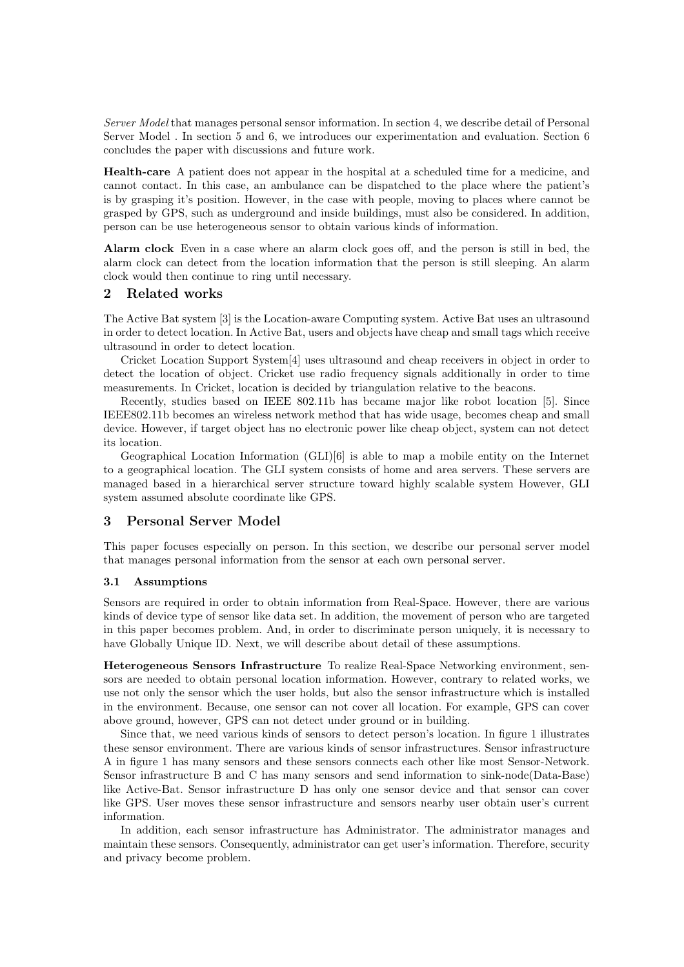Server Model that manages personal sensor information. In section 4, we describe detail of Personal Server Model . In section 5 and 6, we introduces our experimentation and evaluation. Section 6 concludes the paper with discussions and future work.

Health-care A patient does not appear in the hospital at a scheduled time for a medicine, and cannot contact. In this case, an ambulance can be dispatched to the place where the patient's is by grasping it's position. However, in the case with people, moving to places where cannot be grasped by GPS, such as underground and inside buildings, must also be considered. In addition, person can be use heterogeneous sensor to obtain various kinds of information.

Alarm clock Even in a case where an alarm clock goes off, and the person is still in bed, the alarm clock can detect from the location information that the person is still sleeping. An alarm clock would then continue to ring until necessary.

# 2 Related works

The Active Bat system [3] is the Location-aware Computing system. Active Bat uses an ultrasound in order to detect location. In Active Bat, users and objects have cheap and small tags which receive ultrasound in order to detect location.

Cricket Location Support System[4] uses ultrasound and cheap receivers in object in order to detect the location of object. Cricket use radio frequency signals additionally in order to time measurements. In Cricket, location is decided by triangulation relative to the beacons.

Recently, studies based on IEEE 802.11b has became major like robot location [5]. Since IEEE802.11b becomes an wireless network method that has wide usage, becomes cheap and small device. However, if target object has no electronic power like cheap object, system can not detect its location.

Geographical Location Information (GLI)[6] is able to map a mobile entity on the Internet to a geographical location. The GLI system consists of home and area servers. These servers are managed based in a hierarchical server structure toward highly scalable system However, GLI system assumed absolute coordinate like GPS.

# 3 Personal Server Model

This paper focuses especially on person. In this section, we describe our personal server model that manages personal information from the sensor at each own personal server.

#### 3.1 Assumptions

Sensors are required in order to obtain information from Real-Space. However, there are various kinds of device type of sensor like data set. In addition, the movement of person who are targeted in this paper becomes problem. And, in order to discriminate person uniquely, it is necessary to have Globally Unique ID. Next, we will describe about detail of these assumptions.

Heterogeneous Sensors Infrastructure To realize Real-Space Networking environment, sensors are needed to obtain personal location information. However, contrary to related works, we use not only the sensor which the user holds, but also the sensor infrastructure which is installed in the environment. Because, one sensor can not cover all location. For example, GPS can cover above ground, however, GPS can not detect under ground or in building.

Since that, we need various kinds of sensors to detect person's location. In figure 1 illustrates these sensor environment. There are various kinds of sensor infrastructures. Sensor infrastructure A in figure 1 has many sensors and these sensors connects each other like most Sensor-Network. Sensor infrastructure B and C has many sensors and send information to sink-node(Data-Base) like Active-Bat. Sensor infrastructure D has only one sensor device and that sensor can cover like GPS. User moves these sensor infrastructure and sensors nearby user obtain user's current information.

In addition, each sensor infrastructure has Administrator. The administrator manages and maintain these sensors. Consequently, administrator can get user's information. Therefore, security and privacy become problem.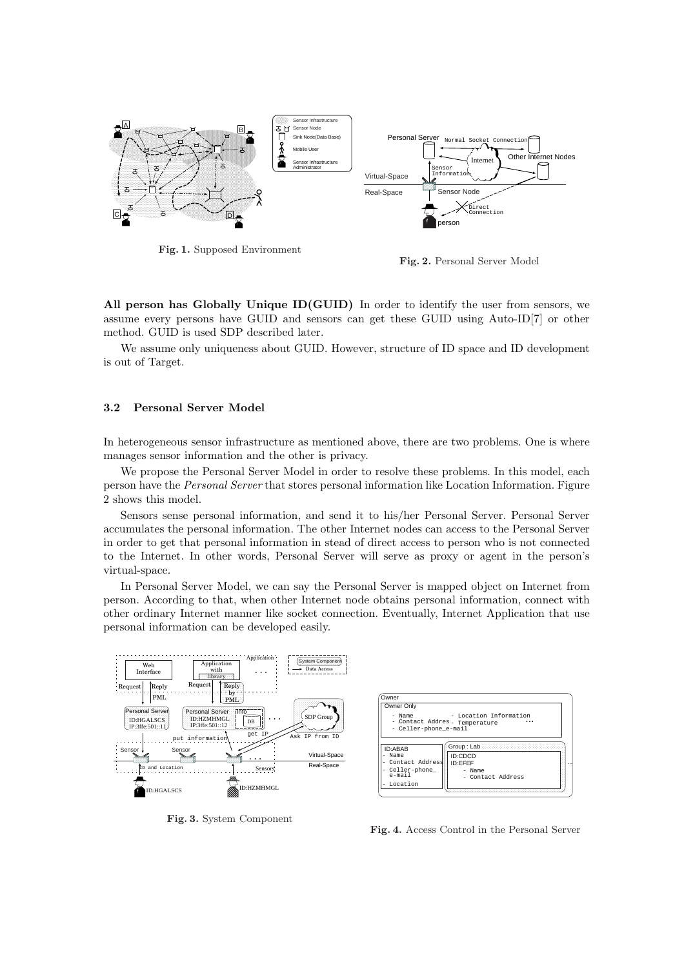

Fig. 1. Supposed Environment

Fig. 2. Personal Server Model

All person has Globally Unique ID(GUID) In order to identify the user from sensors, we assume every persons have GUID and sensors can get these GUID using Auto-ID[7] or other method. GUID is used SDP described later.

We assume only uniqueness about GUID. However, structure of ID space and ID development is out of Target.

## 3.2 Personal Server Model

In heterogeneous sensor infrastructure as mentioned above, there are two problems. One is where manages sensor information and the other is privacy.

We propose the Personal Server Model in order to resolve these problems. In this model, each person have the Personal Server that stores personal information like Location Information. Figure 2 shows this model.

Sensors sense personal information, and send it to his/her Personal Server. Personal Server accumulates the personal information. The other Internet nodes can access to the Personal Server in order to get that personal information in stead of direct access to person who is not connected to the Internet. In other words, Personal Server will serve as proxy or agent in the person's virtual-space.

In Personal Server Model, we can say the Personal Server is mapped object on Internet from person. According to that, when other Internet node obtains personal information, connect with other ordinary Internet manner like socket connection. Eventually, Internet Application that use personal information can be developed easily.



Fig. 3. System Component

... ID:CDCD ID:EFEF Group : Lab - Name - Location Information - Contact Address - Celler-phone\_e-mail - Temperature - Name - Contact Address - Celler-phone\_ e-mail - Name - Contact Address Location Information

Fig. 4. Access Control in the Personal Server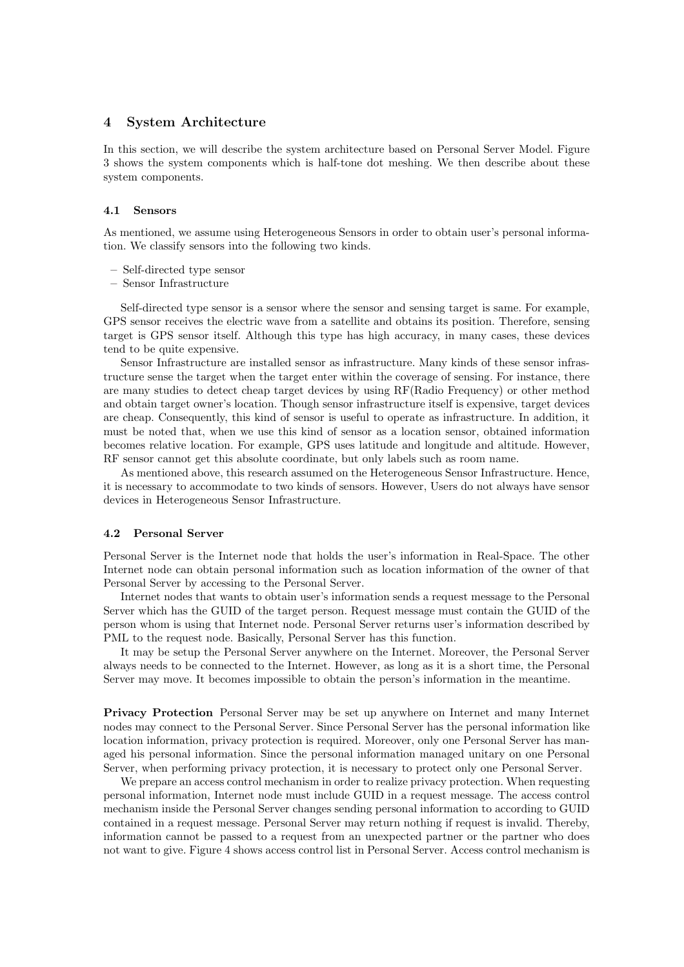## 4 System Architecture

In this section, we will describe the system architecture based on Personal Server Model. Figure 3 shows the system components which is half-tone dot meshing. We then describe about these system components.

#### 4.1 Sensors

As mentioned, we assume using Heterogeneous Sensors in order to obtain user's personal information. We classify sensors into the following two kinds.

- Self-directed type sensor
- Sensor Infrastructure

Self-directed type sensor is a sensor where the sensor and sensing target is same. For example, GPS sensor receives the electric wave from a satellite and obtains its position. Therefore, sensing target is GPS sensor itself. Although this type has high accuracy, in many cases, these devices tend to be quite expensive.

Sensor Infrastructure are installed sensor as infrastructure. Many kinds of these sensor infrastructure sense the target when the target enter within the coverage of sensing. For instance, there are many studies to detect cheap target devices by using RF(Radio Frequency) or other method and obtain target owner's location. Though sensor infrastructure itself is expensive, target devices are cheap. Consequently, this kind of sensor is useful to operate as infrastructure. In addition, it must be noted that, when we use this kind of sensor as a location sensor, obtained information becomes relative location. For example, GPS uses latitude and longitude and altitude. However, RF sensor cannot get this absolute coordinate, but only labels such as room name.

As mentioned above, this research assumed on the Heterogeneous Sensor Infrastructure. Hence, it is necessary to accommodate to two kinds of sensors. However, Users do not always have sensor devices in Heterogeneous Sensor Infrastructure.

## 4.2 Personal Server

Personal Server is the Internet node that holds the user's information in Real-Space. The other Internet node can obtain personal information such as location information of the owner of that Personal Server by accessing to the Personal Server.

Internet nodes that wants to obtain user's information sends a request message to the Personal Server which has the GUID of the target person. Request message must contain the GUID of the person whom is using that Internet node. Personal Server returns user's information described by PML to the request node. Basically, Personal Server has this function.

It may be setup the Personal Server anywhere on the Internet. Moreover, the Personal Server always needs to be connected to the Internet. However, as long as it is a short time, the Personal Server may move. It becomes impossible to obtain the person's information in the meantime.

Privacy Protection Personal Server may be set up anywhere on Internet and many Internet nodes may connect to the Personal Server. Since Personal Server has the personal information like location information, privacy protection is required. Moreover, only one Personal Server has managed his personal information. Since the personal information managed unitary on one Personal Server, when performing privacy protection, it is necessary to protect only one Personal Server.

We prepare an access control mechanism in order to realize privacy protection. When requesting personal information, Internet node must include GUID in a request message. The access control mechanism inside the Personal Server changes sending personal information to according to GUID contained in a request message. Personal Server may return nothing if request is invalid. Thereby, information cannot be passed to a request from an unexpected partner or the partner who does not want to give. Figure 4 shows access control list in Personal Server. Access control mechanism is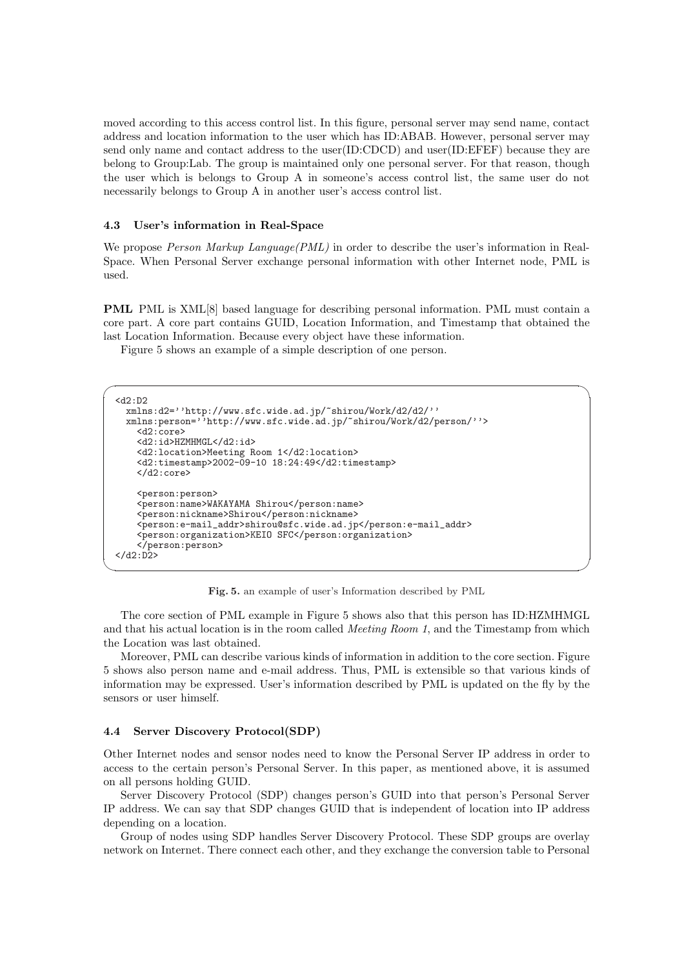moved according to this access control list. In this figure, personal server may send name, contact address and location information to the user which has ID:ABAB. However, personal server may send only name and contact address to the user(ID:CDCD) and user(ID:EFEF) because they are belong to Group:Lab. The group is maintained only one personal server. For that reason, though the user which is belongs to Group A in someone's access control list, the same user do not necessarily belongs to Group A in another user's access control list.

#### 4.3 User's information in Real-Space

We propose *Person Markup Language(PML)* in order to describe the user's information in Real-Space. When Personal Server exchange personal information with other Internet node, PML is used.

PML PML is XML[8] based language for describing personal information. PML must contain a core part. A core part contains GUID, Location Information, and Timestamp that obtained the last Location Information. Because every object have these information.

 $\overline{\phantom{a}}$   $\overline{\phantom{a}}$   $\overline{\phantom{a}}$   $\overline{\phantom{a}}$   $\overline{\phantom{a}}$   $\overline{\phantom{a}}$   $\overline{\phantom{a}}$   $\overline{\phantom{a}}$   $\overline{\phantom{a}}$   $\overline{\phantom{a}}$   $\overline{\phantom{a}}$   $\overline{\phantom{a}}$   $\overline{\phantom{a}}$   $\overline{\phantom{a}}$   $\overline{\phantom{a}}$   $\overline{\phantom{a}}$   $\overline{\phantom{a}}$   $\overline{\phantom{a}}$   $\overline{\$ 

Figure 5 shows an example of a simple description of one person.

```
<d2\cdotD2
   xmlns:d2=''http://www.sfc.wide.ad.jp/~shirou/Work/d2/d2/''
   xmlns:person=''http://www.sfc.wide.ad.jp/~shirou/Work/d2/person/''>
     <d2:core>
     <d2:id>HZMHMGL</d2:id>
     <d2:location>Meeting Room 1</d2:location>
     <d2:timestamp>2002-09-10 18:24:49</d2:timestamp>
     </d2:core>
     <person:person>
     <person:name>WAKAYAMA Shirou</person:name>
     <person:nickname>Shirou</person:nickname>
     <person:e-mail_addr>shirou@sfc.wide.ad.jp</person:e-mail_addr>
     <person:organization>KEIO SFC</person:organization>
     </person:person>
 </d2:D2>
✒ ✑
```
Fig. 5. an example of user's Information described by PML

The core section of PML example in Figure 5 shows also that this person has ID:HZMHMGL and that his actual location is in the room called *Meeting Room 1*, and the Timestamp from which the Location was last obtained.

Moreover, PML can describe various kinds of information in addition to the core section. Figure 5 shows also person name and e-mail address. Thus, PML is extensible so that various kinds of information may be expressed. User's information described by PML is updated on the fly by the sensors or user himself.

#### 4.4 Server Discovery Protocol(SDP)

Other Internet nodes and sensor nodes need to know the Personal Server IP address in order to access to the certain person's Personal Server. In this paper, as mentioned above, it is assumed on all persons holding GUID.

Server Discovery Protocol (SDP) changes person's GUID into that person's Personal Server IP address. We can say that SDP changes GUID that is independent of location into IP address depending on a location.

Group of nodes using SDP handles Server Discovery Protocol. These SDP groups are overlay network on Internet. There connect each other, and they exchange the conversion table to Personal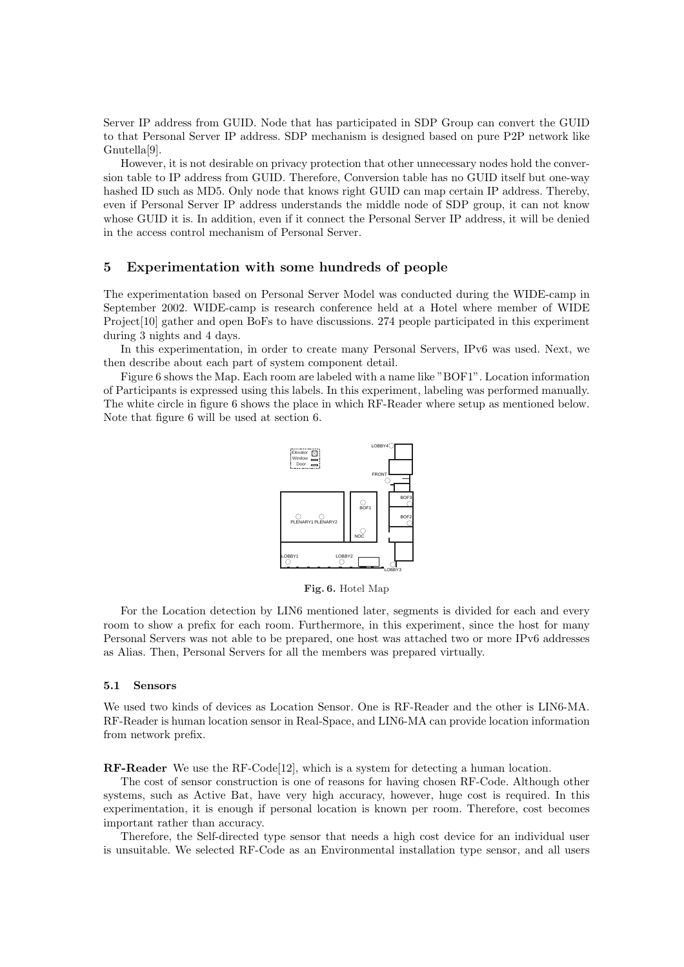Server IP address from GUID. Node that has participated in SDP Group can convert the GUID to that Personal Server IP address. SDP mechanism is designed based on pure P2P network like Gnutella[9].

However, it is not desirable on privacy protection that other unnecessary nodes hold the conversion table to IP address from GUID. Therefore, Conversion table has no GUID itself but one-way hashed ID such as MD5. Only node that knows right GUID can map certain IP address. Thereby, even if Personal Server IP address understands the middle node of SDP group, it can not know whose GUID it is. In addition, even if it connect the Personal Server IP address, it will be denied in the access control mechanism of Personal Server.

### 5 Experimentation with some hundreds of people

The experimentation based on Personal Server Model was conducted during the WIDE-camp in September 2002. WIDE-camp is research conference held at a Hotel where member of WIDE Project<sup>[10]</sup> gather and open BoFs to have discussions. 274 people participated in this experiment during 3 nights and 4 days.

In this experimentation, in order to create many Personal Servers, IPv6 was used. Next, we then describe about each part of system component detail.

Figure 6 shows the Map. Each room are labeled with a name like "BOF1". Location information of Participants is expressed using this labels. In this experiment, labeling was performed manually. The white circle in figure 6 shows the place in which RF-Reader where setup as mentioned below. Note that figure 6 will be used at section 6.



Fig. 6. Hotel Map

For the Location detection by LIN6 mentioned later, segments is divided for each and every room to show a prefix for each room. Furthermore, in this experiment, since the host for many Personal Servers was not able to be prepared, one host was attached two or more IPv6 addresses as Alias. Then, Personal Servers for all the members was prepared virtually.

#### 5.1 Sensors

We used two kinds of devices as Location Sensor. One is RF-Reader and the other is LIN6-MA. RF-Reader is human location sensor in Real-Space, and LIN6-MA can provide location information from network prefix.

RF-Reader We use the RF-Code[12], which is a system for detecting a human location.

The cost of sensor construction is one of reasons for having chosen RF-Code. Although other systems, such as Active Bat, have very high accuracy, however, huge cost is required. In this experimentation, it is enough if personal location is known per room. Therefore, cost becomes important rather than accuracy.

Therefore, the Self-directed type sensor that needs a high cost device for an individual user is unsuitable. We selected RF-Code as an Environmental installation type sensor, and all users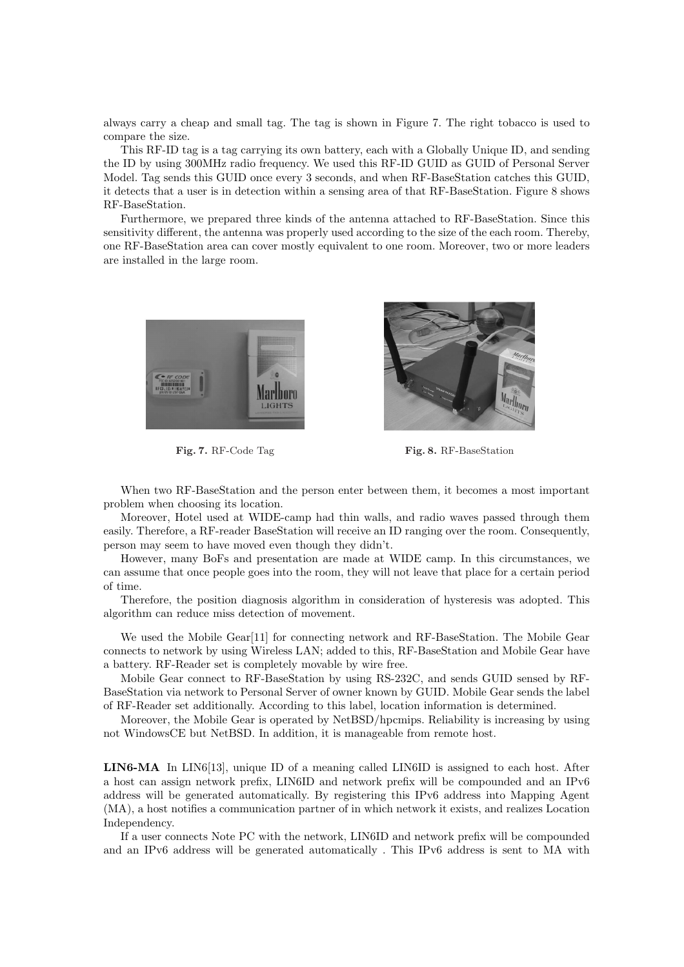always carry a cheap and small tag. The tag is shown in Figure 7. The right tobacco is used to compare the size.

This RF-ID tag is a tag carrying its own battery, each with a Globally Unique ID, and sending the ID by using 300MHz radio frequency. We used this RF-ID GUID as GUID of Personal Server Model. Tag sends this GUID once every 3 seconds, and when RF-BaseStation catches this GUID, it detects that a user is in detection within a sensing area of that RF-BaseStation. Figure 8 shows RF-BaseStation.

Furthermore, we prepared three kinds of the antenna attached to RF-BaseStation. Since this sensitivity different, the antenna was properly used according to the size of the each room. Thereby, one RF-BaseStation area can cover mostly equivalent to one room. Moreover, two or more leaders are installed in the large room.





Fig. 7. RF-Code Tag Fig. 8. RF-BaseStation

When two RF-BaseStation and the person enter between them, it becomes a most important problem when choosing its location.

Moreover, Hotel used at WIDE-camp had thin walls, and radio waves passed through them easily. Therefore, a RF-reader BaseStation will receive an ID ranging over the room. Consequently, person may seem to have moved even though they didn't.

However, many BoFs and presentation are made at WIDE camp. In this circumstances, we can assume that once people goes into the room, they will not leave that place for a certain period of time.

Therefore, the position diagnosis algorithm in consideration of hysteresis was adopted. This algorithm can reduce miss detection of movement.

We used the Mobile Gear<sup>[11]</sup> for connecting network and RF-BaseStation. The Mobile Gear connects to network by using Wireless LAN; added to this, RF-BaseStation and Mobile Gear have a battery. RF-Reader set is completely movable by wire free.

Mobile Gear connect to RF-BaseStation by using RS-232C, and sends GUID sensed by RF-BaseStation via network to Personal Server of owner known by GUID. Mobile Gear sends the label of RF-Reader set additionally. According to this label, location information is determined.

Moreover, the Mobile Gear is operated by NetBSD/hpcmips. Reliability is increasing by using not WindowsCE but NetBSD. In addition, it is manageable from remote host.

LIN6-MA In LIN6[13], unique ID of a meaning called LIN6ID is assigned to each host. After a host can assign network prefix, LIN6ID and network prefix will be compounded and an IPv6 address will be generated automatically. By registering this IPv6 address into Mapping Agent (MA), a host notifies a communication partner of in which network it exists, and realizes Location Independency.

If a user connects Note PC with the network, LIN6ID and network prefix will be compounded and an IPv6 address will be generated automatically . This IPv6 address is sent to MA with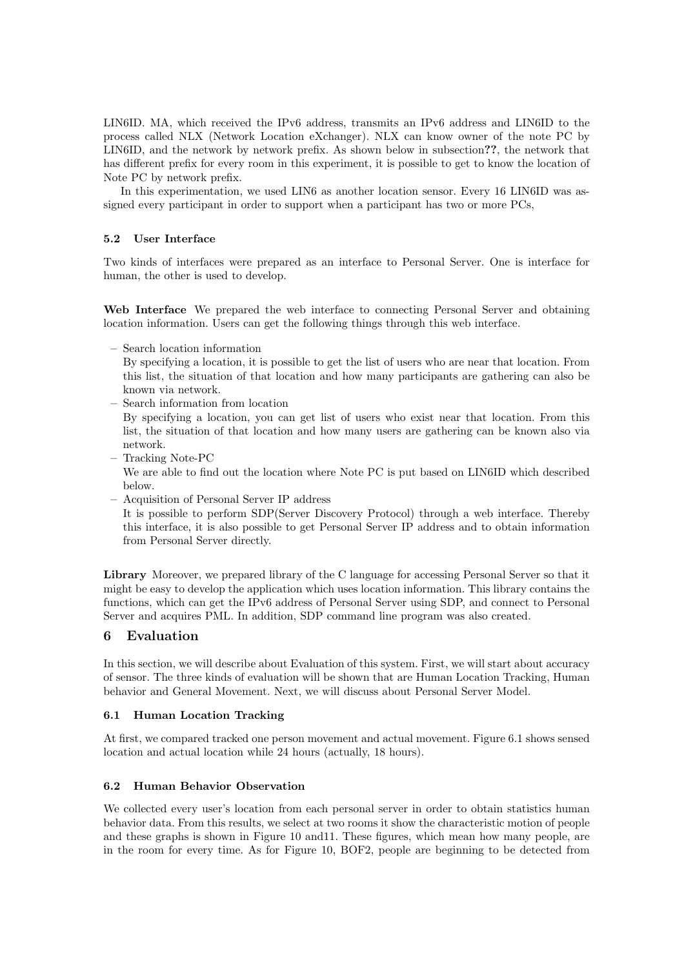LIN6ID. MA, which received the IPv6 address, transmits an IPv6 address and LIN6ID to the process called NLX (Network Location eXchanger). NLX can know owner of the note PC by LIN6ID, and the network by network prefix. As shown below in subsection??, the network that has different prefix for every room in this experiment, it is possible to get to know the location of Note PC by network prefix.

In this experimentation, we used LIN6 as another location sensor. Every 16 LIN6ID was assigned every participant in order to support when a participant has two or more PCs,

## 5.2 User Interface

Two kinds of interfaces were prepared as an interface to Personal Server. One is interface for human, the other is used to develop.

Web Interface We prepared the web interface to connecting Personal Server and obtaining location information. Users can get the following things through this web interface.

– Search location information

By specifying a location, it is possible to get the list of users who are near that location. From this list, the situation of that location and how many participants are gathering can also be known via network.

– Search information from location

By specifying a location, you can get list of users who exist near that location. From this list, the situation of that location and how many users are gathering can be known also via network.

– Tracking Note-PC

We are able to find out the location where Note PC is put based on LIN6ID which described below.

– Acquisition of Personal Server IP address

It is possible to perform SDP(Server Discovery Protocol) through a web interface. Thereby this interface, it is also possible to get Personal Server IP address and to obtain information from Personal Server directly.

Library Moreover, we prepared library of the C language for accessing Personal Server so that it might be easy to develop the application which uses location information. This library contains the functions, which can get the IPv6 address of Personal Server using SDP, and connect to Personal Server and acquires PML. In addition, SDP command line program was also created.

# 6 Evaluation

In this section, we will describe about Evaluation of this system. First, we will start about accuracy of sensor. The three kinds of evaluation will be shown that are Human Location Tracking, Human behavior and General Movement. Next, we will discuss about Personal Server Model.

# 6.1 Human Location Tracking

At first, we compared tracked one person movement and actual movement. Figure 6.1 shows sensed location and actual location while 24 hours (actually, 18 hours).

# 6.2 Human Behavior Observation

We collected every user's location from each personal server in order to obtain statistics human behavior data. From this results, we select at two rooms it show the characteristic motion of people and these graphs is shown in Figure 10 and11. These figures, which mean how many people, are in the room for every time. As for Figure 10, BOF2, people are beginning to be detected from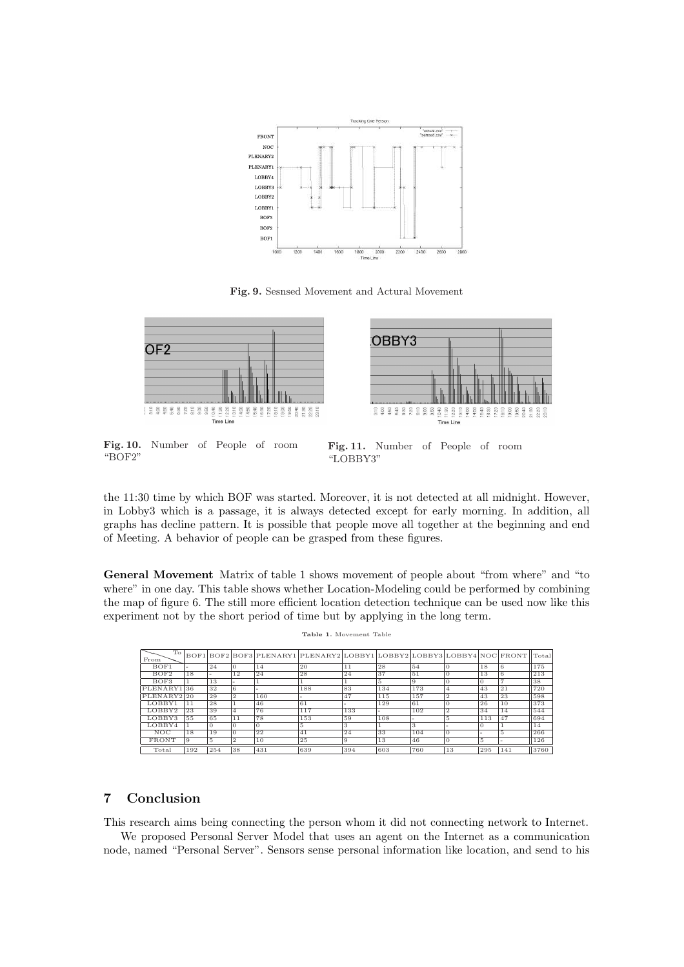

Fig. 9. Sesnsed Movement and Actural Movement



Fig. 10. Number of People of room "BOF2"



the 11:30 time by which BOF was started. Moreover, it is not detected at all midnight. However, in Lobby3 which is a passage, it is always detected except for early morning. In addition, all graphs has decline pattern. It is possible that people move all together at the beginning and end of Meeting. A behavior of people can be grasped from these figures.

General Movement Matrix of table 1 shows movement of people about "from where" and "to where" in one day. This table shows whether Location-Modeling could be performed by combining the map of figure 6. The still more efficient location detection technique can be used now like this experiment not by the short period of time but by applying in the long term.

| To<br>From       |     |     |                         |     | BOF1 BOF2 BOF3 PLENARY1 PLENARY2 LOBBY1 LOBBY2 LOBBY3 LOBBY4 NOC FRONT  Total |     |     |     |                |          |     |      |
|------------------|-----|-----|-------------------------|-----|-------------------------------------------------------------------------------|-----|-----|-----|----------------|----------|-----|------|
| BOF1             |     | 24  |                         | 14  | 20                                                                            | 11  | 28  | 54  |                | 18       | 6   | 175  |
| BOF <sub>2</sub> | 18  |     | 12                      | 24  | 28                                                                            | 24  | 37  | 51  |                | 13       | 6   | 213  |
| BOF3             |     | 13  |                         |     |                                                                               |     | 5   | 9   |                |          |     | 38   |
| PLENARY1         | -36 | 32  | 6                       |     | 188                                                                           | 83  | 134 | 173 | 4              | 43       | 21  | 720  |
| PLENARY2120      |     | 29  | $\overline{2}$          | 160 |                                                                               | 47  | 115 | 157 | $\overline{2}$ | 43       | 23  | 598  |
| LOBBY1           | 11  | 28  |                         | 46  | 61                                                                            |     | 129 | 61  | $\Omega$       | 26       | 10  | 373  |
| LOBBY2           | 23  | 39  | 4                       | 76  | 117                                                                           | 133 |     | 102 | $\overline{2}$ | 34       | 14  | 544  |
| LOBBY3           | 55  | 65  | 11                      | 78  | 153                                                                           | 59  | 108 |     | 5              | 113      | 47  | 694  |
| LOBBY4           |     |     |                         |     | 5                                                                             | 3   |     | 3   |                | $\Omega$ |     | 14   |
| <b>NOC</b>       | 18  | 19  |                         | 22  | 41                                                                            | 24  | 33  | 104 |                |          | 5   | 266  |
| FRONT            | 9   | 5   | $\overline{\mathbf{2}}$ | 10  | 25                                                                            | 9   | 13  | 46  | $\Omega$       | 5        |     | 126  |
| Total            | 192 | 254 | 38                      | 431 | 639                                                                           | 394 | 603 | 760 | 13             | 295      | 141 | 3760 |

Table 1. Movement Table

# 7 Conclusion

This research aims being connecting the person whom it did not connecting network to Internet.

We proposed Personal Server Model that uses an agent on the Internet as a communication node, named "Personal Server". Sensors sense personal information like location, and send to his